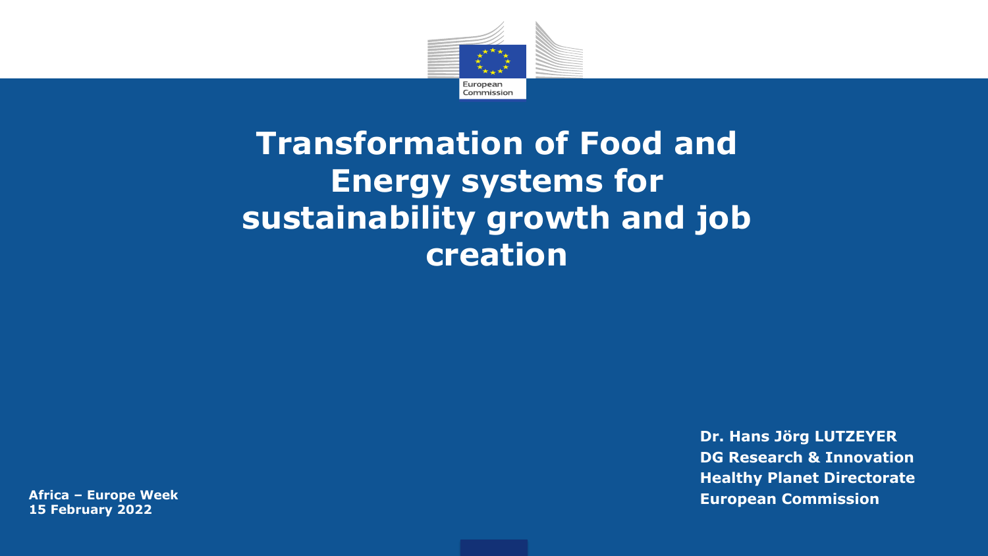

## **Transformation of Food and Energy systems for sustainability growth and job creation**

**15 February 2022**

**Dr. Hans Jörg LUTZEYER DG Research & Innovation Healthy Planet Directorate Africa – Europe Week European Commission**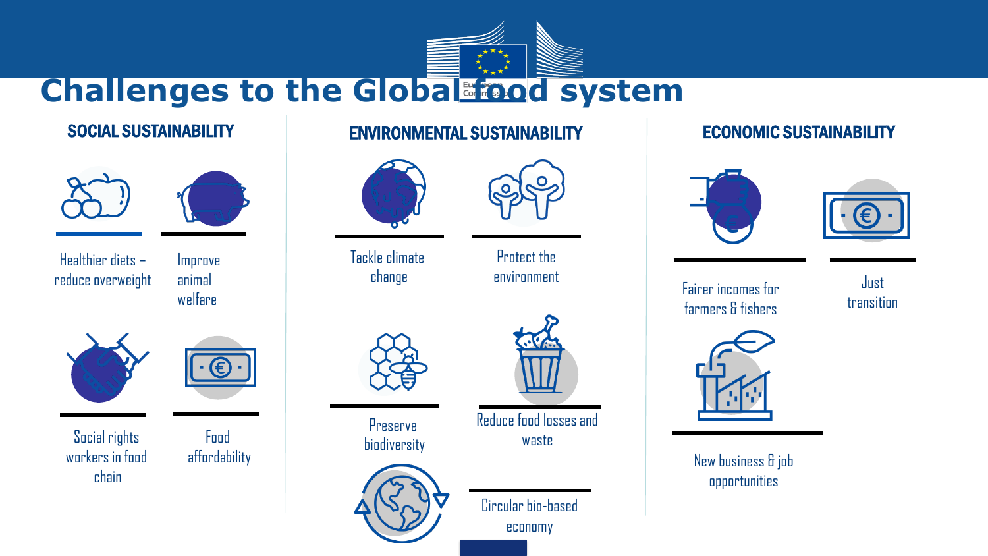





Healthier diets – reduce overweight Fairer incomes for

Improve animal welfare



Social rights Food biodiversity workers in food chain



Food

### SOCIAL SUSTAINABILITY ENVIRONMENTAL SUSTAINABILITY ECONOMIC SUSTAINABILITY



Tackle climate change



Protect the environment



Preserve



Circular bio-based economy

Reduce food losses and waste





farmers & fishers

Just transition



affordability New business & job opportunities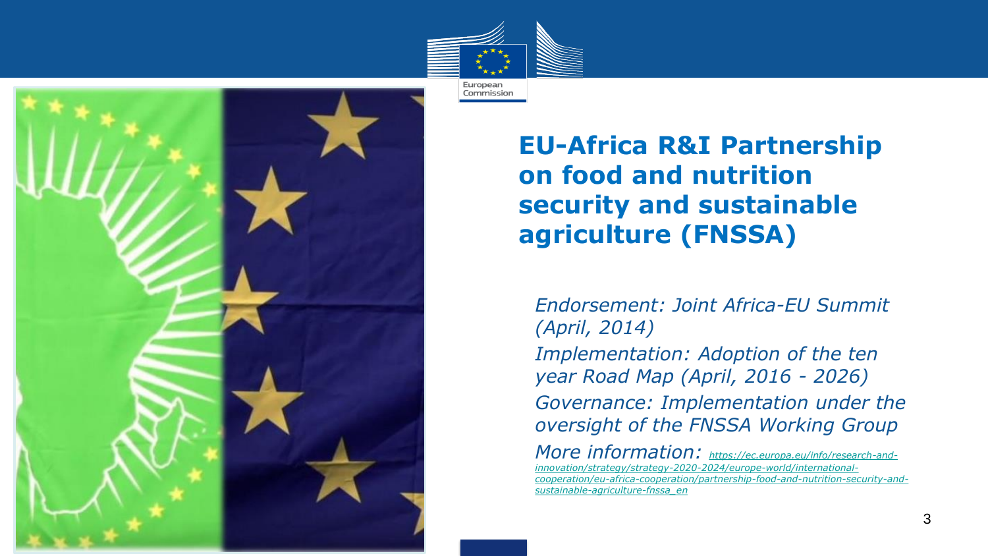



**EU-Africa R&I Partnership on food and nutrition security and sustainable agriculture (FNSSA)**

• *Endorsement: Joint Africa-EU Summit (April, 2014)* • *Implementation: Adoption of the ten year Road Map (April, 2016 - 2026)* • *Governance: Implementation under the oversight of the FNSSA Working Group*

• *More information: https://ec.europa.eu/info/research-andinnovation/strategy/strategy-2020-2024/europe-world/international[cooperation/eu-africa-cooperation/partnership-food-and-nutrition-security-and](https://ec.europa.eu/info/research-and-innovation/strategy/strategy-2020-2024/europe-world/international-cooperation/eu-africa-cooperation/partnership-food-and-nutrition-security-and-sustainable-agriculture-fnssa_en)sustainable-agriculture-fnssa\_en*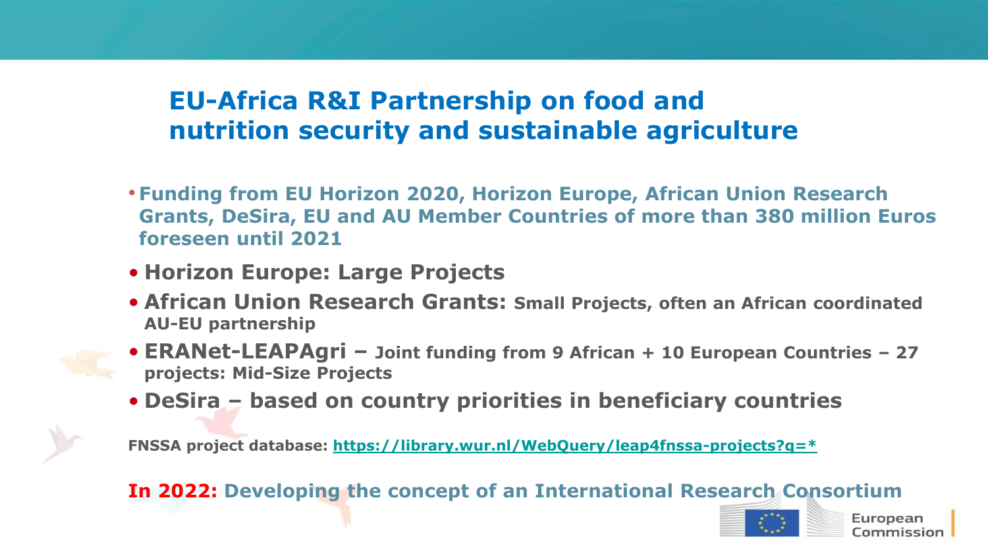### **EU-Africa R&I Partnership on food and nutrition security and sustainable agriculture**

- **Funding from EU Horizon 2020, Horizon Europe, African Union Research Grants, DeSira, EU and AU Member Countries of more than 380 million Euros foreseen until 2021**
- **Horizon Europe: Large Projects**
- **African Union Research Grants: Small Projects, often an African coordinated AU-EU partnership**
- **ERANet-LEAPAgri – Joint funding from 9 African + 10 European Countries – 27 projects: Mid-Size Projects**
- **DeSira – based on country priorities in beneficiary countries**

**FNSSA project database: [https://library.wur.nl/WebQuery/leap4fnssa-projects?q=\\*](https://library.wur.nl/WebQuery/leap4fnssa-projects?q=*)**

**In 2022: Developing the concept of an International Research Consortium**



European `ommissior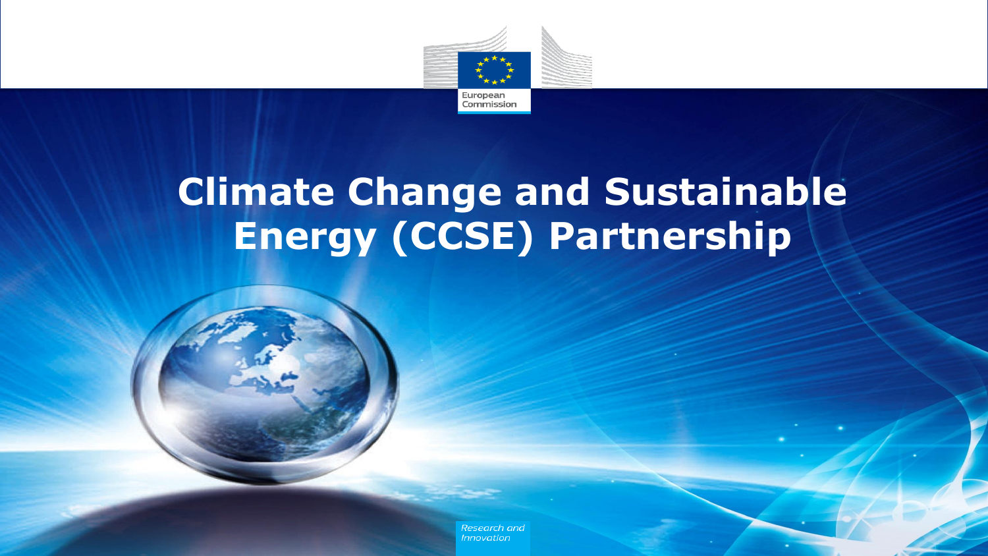

## **Climate Change and Sustainable Energy (CCSE) Partnership**



Research and **Innovation**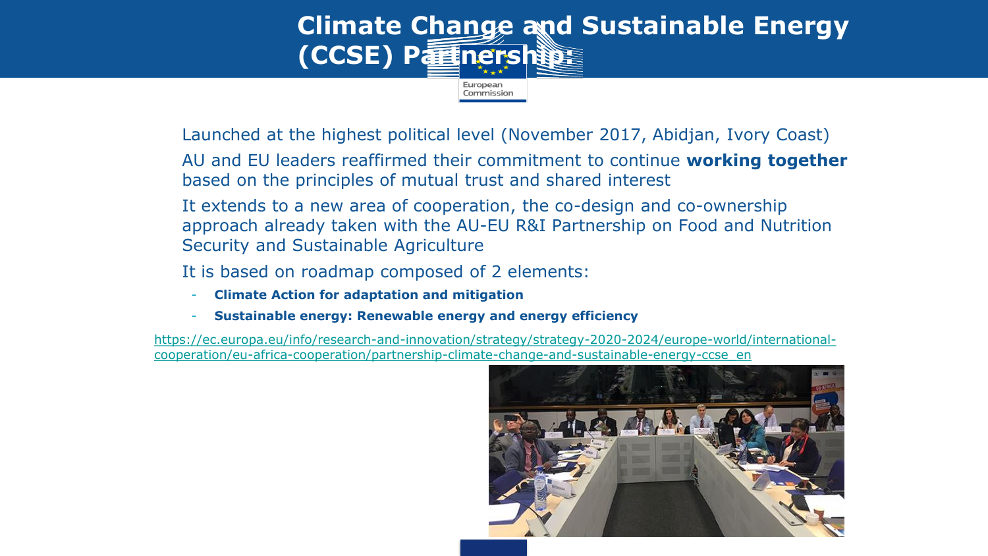

• Launched at the highest political level (November 2017, Abidjan, Ivory Coast)

• AU and EU leaders reaffirmed their commitment to continue **working together**  based on the principles of mutual trust and shared interest

It extends to a new area of cooperation, the co-design and co-ownership approach already taken with the AU-EU R&I Partnership on Food and Nutrition Security and Sustainable Agriculture

It is based on roadmap composed of 2 elements:

- **Climate Action for adaptation and mitigation**
- **Sustainable energy: Renewable energy and energy efficiency**

[https://ec.europa.eu/info/research-and-innovation/strategy/strategy-2020-2024/europe-world/international](https://ec.europa.eu/info/research-and-innovation/strategy/strategy-2020-2024/europe-world/international-cooperation/eu-africa-cooperation/partnership-climate-change-and-sustainable-energy-ccse_en)cooperation/eu-africa-cooperation/partnership-climate-change-and-sustainable-energy-ccse\_en